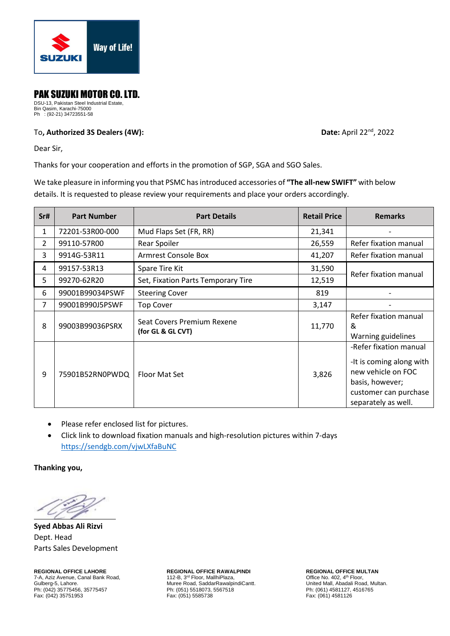

## PAK SUZUKI MOTOR CO. LTD.

DSU-13, Pakistan Steel Industrial Estate, Bin Qasim, Karachi-75000 Ph : (92-21) 34723551-58

## To**, Authorized 3S Dealers (4W): Date:** April 22nd, 2022

Dear Sir,

Thanks for your cooperation and efforts in the promotion of SGP, SGA and SGO Sales.

We take pleasure in informing you that PSMC has introduced accessories of **"The all-new SWIFT"** with below details. It is requested to please review your requirements and place your orders accordingly.

| Sr#            | <b>Part Number</b> | <b>Part Details</b>                             | <b>Retail Price</b>             | <b>Remarks</b>                                                                                                                              |
|----------------|--------------------|-------------------------------------------------|---------------------------------|---------------------------------------------------------------------------------------------------------------------------------------------|
| $\mathbf{1}$   | 72201-53R00-000    | Mud Flaps Set (FR, RR)                          | 21,341                          |                                                                                                                                             |
| $\overline{2}$ | 99110-57R00        | Rear Spoiler                                    | 26,559                          | Refer fixation manual                                                                                                                       |
| 3              | 9914G-53R11        | <b>Armrest Console Box</b>                      | 41,207                          | Refer fixation manual                                                                                                                       |
| 4              | 99157-53R13        | Spare Tire Kit                                  | 31,590                          |                                                                                                                                             |
| 5              | 99270-62R20        | Set, Fixation Parts Temporary Tire              | Refer fixation manual<br>12,519 |                                                                                                                                             |
| 6              | 99001B99034PSWF    | <b>Steering Cover</b>                           | 819                             |                                                                                                                                             |
| $\overline{7}$ | 99001B990J5PSWF    | <b>Top Cover</b>                                | 3,147                           |                                                                                                                                             |
| 8              | 99003B99036PSRX    | Seat Covers Premium Rexene<br>(for GL & GL CVT) | 11,770                          | Refer fixation manual<br>&<br>Warning guidelines                                                                                            |
| 9              | 75901B52RN0PWDQ    | Floor Mat Set                                   | 3,826                           | -Refer fixation manual<br>-It is coming along with<br>new vehicle on FOC<br>basis, however;<br>customer can purchase<br>separately as well. |

- Please refer enclosed list for pictures.
- Click link to download fixation manuals and high-resolution pictures within 7-days <https://sendgb.com/vjwLXfaBuNC>

**Thanking you,**

**Syed Abbas Ali Rizvi**  Dept. Head Parts Sales Development

**REGIONAL OFFICE LAHORE REGIONAL OFFICE RAWALPINDI REGIONAL OFFICE MULTAN**<br> **T-A. Aziz Avenue. Canal Bank Road.** 112-B. 3<sup>rd</sup> Floor. MallhiPlaza. **And Bank Company of Chice No. 402.** 4<sup>th</sup> Floor. 7-A, Aziz Avenue, Canal Bank Road, Gulberg-5, Lahore. Ph: (042) 35775456, 35775457 Ph: (051) 5518073, 5567518 Ph: (042) 35775456, 35775457 Ph: (061) 4581127, Fax: (042) 4581127, Fax: (042) 4581127, Fax: (042) 4581126 Fax: (042) 35751953

rd Floor, MallhiPlaza, New York (1998)<br>112-B, 3<sup>rd</sup> Floor, MallhiPlaza, New York (1998)<br>Muree Road, SaddarRawalpindiCantt. New York United Mall, Abadali Road, Multan. For Guide Road, SaddarRawalpindiCantt.<br>
Ph: (051) 5518073, 5567518<br>
Ph: (061) 4581127, 4516765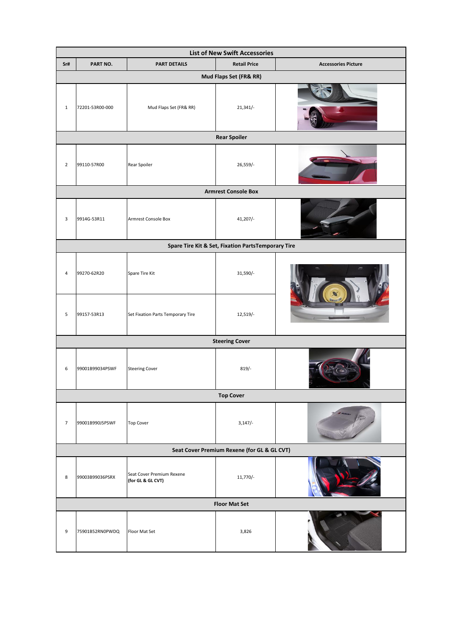| <b>List of New Swift Accessories</b>               |                 |                                                |                     |                            |  |  |  |  |
|----------------------------------------------------|-----------------|------------------------------------------------|---------------------|----------------------------|--|--|--|--|
| Sr#                                                | PART NO.        | <b>PART DETAILS</b>                            | <b>Retail Price</b> | <b>Accessories Picture</b> |  |  |  |  |
| Mud Flaps Set (FR& RR)                             |                 |                                                |                     |                            |  |  |  |  |
| $\mathbf 1$                                        | 72201-53R00-000 | Mud Flaps Set (FR& RR)                         | 21,341/             |                            |  |  |  |  |
| <b>Rear Spoiler</b>                                |                 |                                                |                     |                            |  |  |  |  |
| $\overline{2}$                                     | 99110-57R00     | Rear Spoiler                                   | 26,559/-            |                            |  |  |  |  |
| <b>Armrest Console Box</b>                         |                 |                                                |                     |                            |  |  |  |  |
| 3                                                  | 9914G-53R11     | Armrest Console Box                            | $41,207/-$          |                            |  |  |  |  |
| Spare Tire Kit & Set, Fixation PartsTemporary Tire |                 |                                                |                     |                            |  |  |  |  |
| 4                                                  | 99270-62R20     | Spare Tire Kit                                 | 31,590/-            |                            |  |  |  |  |
| 5                                                  | 99157-53R13     | Set Fixation Parts Temporary Tire              | 12,519/-            |                            |  |  |  |  |
| <b>Steering Cover</b>                              |                 |                                                |                     |                            |  |  |  |  |
| 6                                                  | 99001B99034PSWF | <b>Steering Cover</b>                          | $819/-$             |                            |  |  |  |  |
| <b>Top Cover</b>                                   |                 |                                                |                     |                            |  |  |  |  |
| $\overline{7}$                                     | 99001B990J5PSWF | <b>Top Cover</b>                               | $3,147/-$           |                            |  |  |  |  |
| Seat Cover Premium Rexene (for GL & GL CVT)        |                 |                                                |                     |                            |  |  |  |  |
| 8                                                  | 99003B99036PSRX | Seat Cover Premium Rexene<br>(for GL & GL CVT) | $11,770/-$          |                            |  |  |  |  |
| <b>Floor Mat Set</b>                               |                 |                                                |                     |                            |  |  |  |  |
| 9                                                  | 75901B52RN0PWDQ | Floor Mat Set                                  | 3,826               |                            |  |  |  |  |